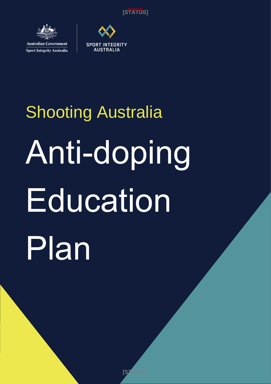[S<sup>OFFICI</sup>OS]



**Australian Government Sport Integrity Australia** 



# **Shooting Australia** Anti-doping Education Plan

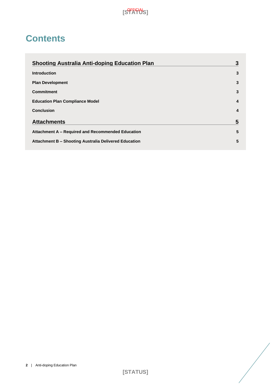## **Contents**

| <b>Shooting Australia Anti-doping Education Plan</b>         | 3 |
|--------------------------------------------------------------|---|
| <b>Introduction</b>                                          | 3 |
| <b>Plan Development</b>                                      | 3 |
| <b>Commitment</b>                                            | 3 |
| <b>Education Plan Compliance Model</b>                       | 4 |
| <b>Conclusion</b>                                            | 4 |
| <b>Attachments</b>                                           | 5 |
| Attachment A – Required and Recommended Education            | 5 |
| <b>Attachment B - Shooting Australia Delivered Education</b> | 5 |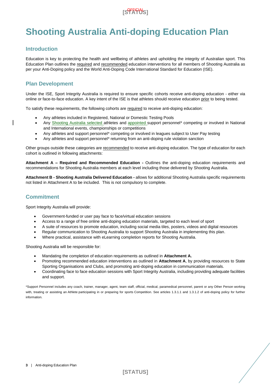### [S<sup>QFFIC</sup>HOS]

## <span id="page-2-0"></span>**Shooting Australia Anti-doping Education Plan**

#### <span id="page-2-1"></span>**Introduction**

Education is key to protecting the health and wellbeing of athletes and upholding the integrity of Australian sport. This Education Plan outlines the required and recommended education interventions for all members of Shooting Australia as per your Anti-Doping policy and the World Anti-Doping Code International Standard for Education (ISE).

#### <span id="page-2-2"></span>**Plan Development**

Under the ISE, Sport Integrity Australia is required to ensure specific cohorts receive anti-doping education - either via online or face-to-face education. A key intent of the ISE is that athletes should receive education prior to being tested.

To satisfy these requirements, the following cohorts are required to receive anti-doping education:

- Any athletes included in Registered, National or Domestic Testing Pools
- Any Shooting Australia selected athletes and appointed support personnel\* competing or involved in National and International events, championships or competitions
- Any athletes and support personnel\* competing or involved in leagues subject to User Pay testing
- Any athletes and support personnel\* returning from an anti-doping rule violation sanction

Other groups outside these categories are recommended to receive anti-doping education. The type of education for each cohort is outlined in following attachments:

**Attachment A – Required and Recommended Education -** Outlines the anti-doping education requirements and recommendations for Shooting Australia members at each level including those delivered by Shooting Australia.

**Attachment B - Shooting Australia Delivered Education -** allows for additional Shooting Australia specific requirements not listed in Attachment A to be included. This is not compulsory to complete.

#### <span id="page-2-3"></span>**Commitment**

Sport Integrity Australia will provide:

- Government-funded or user pay face to face/virtual education sessions
- Access to a range of free online anti-doping education materials, targeted to each level of sport
- A suite of resources to promote education, including social media tiles, posters, videos and digital resources
- Regular communication to Shooting Australia to support Shooting Australia in implementing this plan.
- Where practical, assistance with eLearning completion reports for Shooting Australia.

Shooting Australia will be responsible for:

- Mandating the completion of education requirements as outlined in **Attachment A.**
- Promoting recommended education interventions as outlined in **Attachment A**, by providing resources to State Sporting Organisations and Clubs, and promoting anti-doping education in communication materials.
- Coordinating face to face education sessions with Sport Integrity Australia, including providing adequate facilities and support.

\*Support Personnel includes any coach, trainer, manager, agent, team staff, official, medical, paramedical personnel, parent or any Other Person working with, treating or assisting an Athlete participating in or preparing for sports Competition. See articles 1.3.1.1 and 1.3.1.2 of anti-doping policy for further information.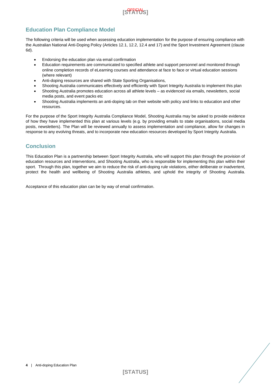#### <span id="page-3-0"></span>**Education Plan Compliance Model**

The following criteria will be used when assessing education implementation for the purpose of ensuring compliance with the Australian National Anti-Doping Policy (Articles 12.1, 12.2, 12.4 and 17) and the Sport Investment Agreement (clause 6d).

- Endorsing the education plan via email confirmation
- Education requirements are communicated to specified athlete and support personnel and monitored through online completion records of eLearning courses and attendance at face to face or virtual education sessions (where relevant)
- Anti-doping resources are shared with State Sporting Organisations,
- Shooting Australia communicates effectively and efficiently with Sport Integrity Australia to implement this plan
- Shooting Australia promotes education across all athlete levels as evidenced via emails, newsletters, social media posts, and event packs etc
- Shooting Australia implements an anti-doping tab on their website with policy and links to education and other resources.

For the purpose of the Sport Integrity Australia Compliance Model, Shooting Australia may be asked to provide evidence of how they have implemented this plan at various levels (e.g. by providing emails to state organisations, social media posts, newsletters). The Plan will be reviewed annually to assess implementation and compliance, allow for changes in response to any evolving threats, and to incorporate new education resources developed by Sport Integrity Australia.

#### <span id="page-3-1"></span>**Conclusion**

This Education Plan is a partnership between Sport Integrity Australia, who will support this plan through the provision of education resources and interventions, and Shooting Australia, who is responsible for implementing this plan within their sport. Through this plan, together we aim to reduce the risk of anti-doping rule violations, either deliberate or inadvertent, protect the health and wellbeing of Shooting Australia athletes, and uphold the integrity of Shooting Australia.

Acceptance of this education plan can be by way of email confirmation.